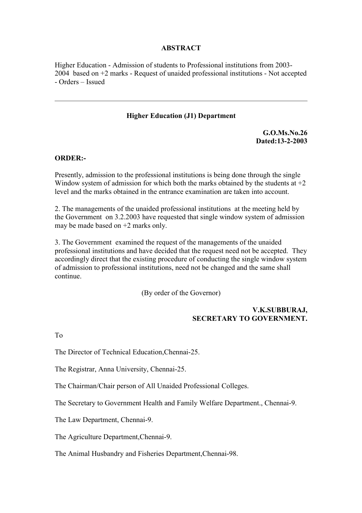### **ABSTRACT**

Higher Education - Admission of students to Professional institutions from 2003- 2004 based on +2 marks - Request of unaided professional institutions - Not accepted - Orders – Issued

#### **Higher Education (J1) Department**

**G.O.Ms.No.26 Dated:13-2-2003**

#### **ORDER:-**

Presently, admission to the professional institutions is being done through the single Window system of admission for which both the marks obtained by the students at  $+2$ level and the marks obtained in the entrance examination are taken into account.

2. The managements of the unaided professional institutions at the meeting held by the Government on 3.2.2003 have requested that single window system of admission may be made based on +2 marks only.

3. The Government examined the request of the managements of the unaided professional institutions and have decided that the request need not be accepted. They accordingly direct that the existing procedure of conducting the single window system of admission to professional institutions, need not be changed and the same shall continue.

(By order of the Governor)

## **V.K.SUBBURAJ, SECRETARY TO GOVERNMENT.**

To

The Director of Technical Education,Chennai-25.

The Registrar, Anna University, Chennai-25.

The Chairman/Chair person of All Unaided Professional Colleges.

The Secretary to Government Health and Family Welfare Department., Chennai-9.

The Law Department, Chennai-9.

The Agriculture Department,Chennai-9.

The Animal Husbandry and Fisheries Department,Chennai-98.